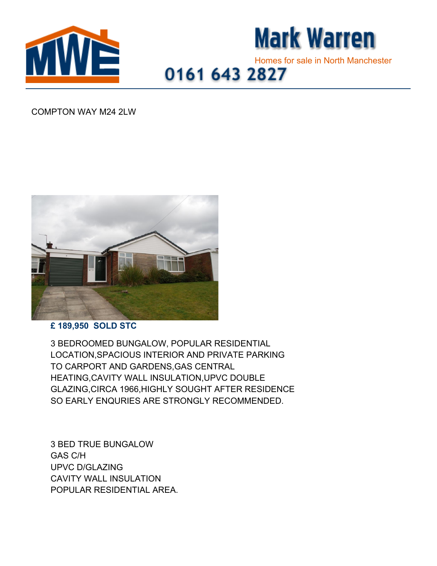



## Homes for sale in North Manchester<br>0161 643 2827

## COMPTON WAY M24 2LW



## **£ 189,950 SOLD STC**

3 BEDROOMED BUNGALOW, POPULAR RESIDENTIAL LOCATION,SPACIOUS INTERIOR AND PRIVATE PARKING TO CARPORT AND GARDENS,GAS CENTRAL HEATING,CAVITY WALL INSULATION,UPVC DOUBLE GLAZING,CIRCA 1966,HIGHLY SOUGHT AFTER RESIDENCE SO EARLY ENQURIES ARE STRONGLY RECOMMENDED.

3 BED TRUE BUNGALOW GAS C/H UPVC D/GLAZING CAVITY WALL INSULATION POPULAR RESIDENTIAL AREA.